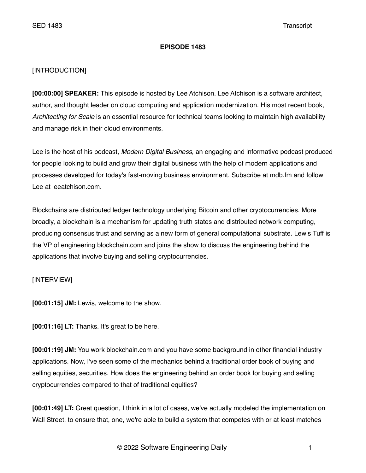## **EPISODE 1483**

# [INTRODUCTION]

**[00:00:00] SPEAKER:** This episode is hosted by Lee Atchison. Lee Atchison is a software architect, author, and thought leader on cloud computing and application modernization. His most recent book, *Architecting for Scale* is an essential resource for technical teams looking to maintain high availability and manage risk in their cloud environments.

Lee is the host of his podcast, *Modern Digital Business*, an engaging and informative podcast produced for people looking to build and grow their digital business with the help of modern applications and processes developed for today's fast-moving business environment. Subscribe at mdb.fm and follow Lee at leeatchison.com.

Blockchains are distributed ledger technology underlying Bitcoin and other cryptocurrencies. More broadly, a blockchain is a mechanism for updating truth states and distributed network computing, producing consensus trust and serving as a new form of general computational substrate. Lewis Tuff is the VP of engineering blockchain.com and joins the show to discuss the engineering behind the applications that involve buying and selling cryptocurrencies.

# [INTERVIEW]

**[00:01:15] JM:** Lewis, welcome to the show.

**[00:01:16] LT:** Thanks. It's great to be here.

**[00:01:19] JM:** You work blockchain.com and you have some background in other financial industry applications. Now, I've seen some of the mechanics behind a traditional order book of buying and selling equities, securities. How does the engineering behind an order book for buying and selling cryptocurrencies compared to that of traditional equities?

**[00:01:49] LT:** Great question, I think in a lot of cases, we've actually modeled the implementation on Wall Street, to ensure that, one, we're able to build a system that competes with or at least matches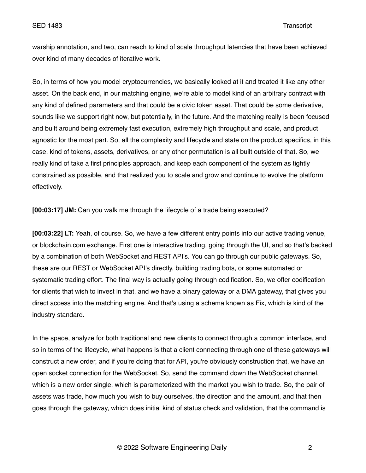warship annotation, and two, can reach to kind of scale throughput latencies that have been achieved over kind of many decades of iterative work.

So, in terms of how you model cryptocurrencies, we basically looked at it and treated it like any other asset. On the back end, in our matching engine, we're able to model kind of an arbitrary contract with any kind of defined parameters and that could be a civic token asset. That could be some derivative, sounds like we support right now, but potentially, in the future. And the matching really is been focused and built around being extremely fast execution, extremely high throughput and scale, and product agnostic for the most part. So, all the complexity and lifecycle and state on the product specifics, in this case, kind of tokens, assets, derivatives, or any other permutation is all built outside of that. So, we really kind of take a first principles approach, and keep each component of the system as tightly constrained as possible, and that realized you to scale and grow and continue to evolve the platform effectively.

**[00:03:17] JM:** Can you walk me through the lifecycle of a trade being executed?

**[00:03:22] LT:** Yeah, of course. So, we have a few different entry points into our active trading venue, or blockchain.com exchange. First one is interactive trading, going through the UI, and so that's backed by a combination of both WebSocket and REST API's. You can go through our public gateways. So, these are our REST or WebSocket API's directly, building trading bots, or some automated or systematic trading effort. The final way is actually going through codification. So, we offer codification for clients that wish to invest in that, and we have a binary gateway or a DMA gateway, that gives you direct access into the matching engine. And that's using a schema known as Fix, which is kind of the industry standard.

In the space, analyze for both traditional and new clients to connect through a common interface, and so in terms of the lifecycle, what happens is that a client connecting through one of these gateways will construct a new order, and if you're doing that for API, you're obviously construction that, we have an open socket connection for the WebSocket. So, send the command down the WebSocket channel, which is a new order single, which is parameterized with the market you wish to trade. So, the pair of assets was trade, how much you wish to buy ourselves, the direction and the amount, and that then goes through the gateway, which does initial kind of status check and validation, that the command is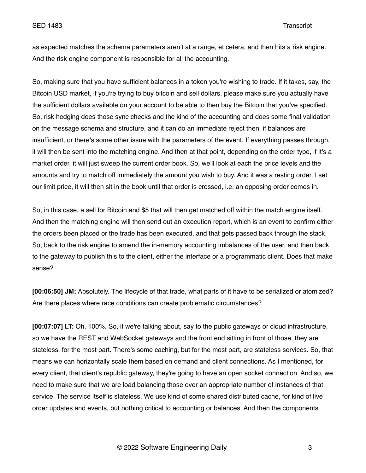as expected matches the schema parameters aren't at a range, et cetera, and then hits a risk engine. And the risk engine component is responsible for all the accounting.

So, making sure that you have sufficient balances in a token you're wishing to trade. If it takes, say, the Bitcoin USD market, if you're trying to buy bitcoin and sell dollars, please make sure you actually have the sufficient dollars available on your account to be able to then buy the Bitcoin that you've specified. So, risk hedging does those sync checks and the kind of the accounting and does some final validation on the message schema and structure, and it can do an immediate reject then, if balances are insufficient, or there's some other issue with the parameters of the event. If everything passes through, it will then be sent into the matching engine. And then at that point, depending on the order type, if it's a market order, it will just sweep the current order book. So, we'll look at each the price levels and the amounts and try to match off immediately the amount you wish to buy. And it was a resting order, I set our limit price, it will then sit in the book until that order is crossed, i.e. an opposing order comes in.

So, in this case, a sell for Bitcoin and \$5 that will then get matched off within the match engine itself. And then the matching engine will then send out an execution report, which is an event to confirm either the orders been placed or the trade has been executed, and that gets passed back through the stack. So, back to the risk engine to amend the in-memory accounting imbalances of the user, and then back to the gateway to publish this to the client, either the interface or a programmatic client. Does that make sense?

**[00:06:50] JM:** Absolutely. The lifecycle of that trade, what parts of it have to be serialized or atomized? Are there places where race conditions can create problematic circumstances?

**[00:07:07] LT:** Oh, 100%. So, if we're talking about, say to the public gateways or cloud infrastructure, so we have the REST and WebSocket gateways and the front end sitting in front of those, they are stateless, for the most part. There's some caching, but for the most part, are stateless services. So, that means we can horizontally scale them based on demand and client connections. As I mentioned, for every client, that client's republic gateway, they're going to have an open socket connection. And so, we need to make sure that we are load balancing those over an appropriate number of instances of that service. The service itself is stateless. We use kind of some shared distributed cache, for kind of live order updates and events, but nothing critical to accounting or balances. And then the components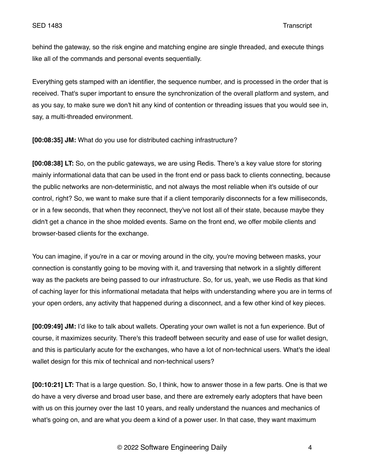behind the gateway, so the risk engine and matching engine are single threaded, and execute things like all of the commands and personal events sequentially.

Everything gets stamped with an identifier, the sequence number, and is processed in the order that is received. That's super important to ensure the synchronization of the overall platform and system, and as you say, to make sure we don't hit any kind of contention or threading issues that you would see in, say, a multi-threaded environment.

**[00:08:35] JM:** What do you use for distributed caching infrastructure?

**[00:08:38] LT:** So, on the public gateways, we are using Redis. There's a key value store for storing mainly informational data that can be used in the front end or pass back to clients connecting, because the public networks are non-deterministic, and not always the most reliable when it's outside of our control, right? So, we want to make sure that if a client temporarily disconnects for a few milliseconds, or in a few seconds, that when they reconnect, they've not lost all of their state, because maybe they didn't get a chance in the shoe molded events. Same on the front end, we offer mobile clients and browser-based clients for the exchange.

You can imagine, if you're in a car or moving around in the city, you're moving between masks, your connection is constantly going to be moving with it, and traversing that network in a slightly different way as the packets are being passed to our infrastructure. So, for us, yeah, we use Redis as that kind of caching layer for this informational metadata that helps with understanding where you are in terms of your open orders, any activity that happened during a disconnect, and a few other kind of key pieces.

**[00:09:49] JM:** I'd like to talk about wallets. Operating your own wallet is not a fun experience. But of course, it maximizes security. There's this tradeoff between security and ease of use for wallet design, and this is particularly acute for the exchanges, who have a lot of non-technical users. What's the ideal wallet design for this mix of technical and non-technical users?

**[00:10:21] LT:** That is a large question. So, I think, how to answer those in a few parts. One is that we do have a very diverse and broad user base, and there are extremely early adopters that have been with us on this journey over the last 10 years, and really understand the nuances and mechanics of what's going on, and are what you deem a kind of a power user. In that case, they want maximum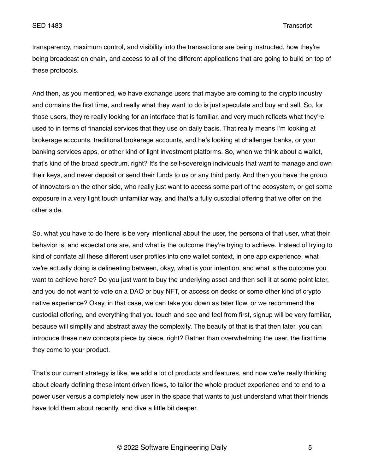transparency, maximum control, and visibility into the transactions are being instructed, how they're being broadcast on chain, and access to all of the different applications that are going to build on top of these protocols.

And then, as you mentioned, we have exchange users that maybe are coming to the crypto industry and domains the first time, and really what they want to do is just speculate and buy and sell. So, for those users, they're really looking for an interface that is familiar, and very much reflects what they're used to in terms of financial services that they use on daily basis. That really means I'm looking at brokerage accounts, traditional brokerage accounts, and he's looking at challenger banks, or your banking services apps, or other kind of light investment platforms. So, when we think about a wallet, that's kind of the broad spectrum, right? It's the self-sovereign individuals that want to manage and own their keys, and never deposit or send their funds to us or any third party. And then you have the group of innovators on the other side, who really just want to access some part of the ecosystem, or get some exposure in a very light touch unfamiliar way, and that's a fully custodial offering that we offer on the other side.

So, what you have to do there is be very intentional about the user, the persona of that user, what their behavior is, and expectations are, and what is the outcome they're trying to achieve. Instead of trying to kind of conflate all these different user profiles into one wallet context, in one app experience, what we're actually doing is delineating between, okay, what is your intention, and what is the outcome you want to achieve here? Do you just want to buy the underlying asset and then sell it at some point later, and you do not want to vote on a DAO or buy NFT, or access on decks or some other kind of crypto native experience? Okay, in that case, we can take you down as tater flow, or we recommend the custodial offering, and everything that you touch and see and feel from first, signup will be very familiar, because will simplify and abstract away the complexity. The beauty of that is that then later, you can introduce these new concepts piece by piece, right? Rather than overwhelming the user, the first time they come to your product.

That's our current strategy is like, we add a lot of products and features, and now we're really thinking about clearly defining these intent driven flows, to tailor the whole product experience end to end to a power user versus a completely new user in the space that wants to just understand what their friends have told them about recently, and dive a little bit deeper.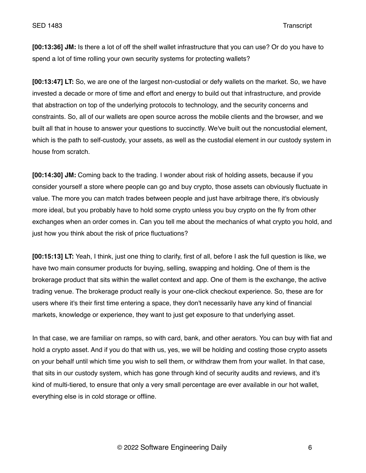**[00:13:36] JM:** Is there a lot of off the shelf wallet infrastructure that you can use? Or do you have to spend a lot of time rolling your own security systems for protecting wallets?

**[00:13:47] LT:** So, we are one of the largest non-custodial or defy wallets on the market. So, we have invested a decade or more of time and effort and energy to build out that infrastructure, and provide that abstraction on top of the underlying protocols to technology, and the security concerns and constraints. So, all of our wallets are open source across the mobile clients and the browser, and we built all that in house to answer your questions to succinctly. We've built out the noncustodial element, which is the path to self-custody, your assets, as well as the custodial element in our custody system in house from scratch.

**[00:14:30] JM:** Coming back to the trading. I wonder about risk of holding assets, because if you consider yourself a store where people can go and buy crypto, those assets can obviously fluctuate in value. The more you can match trades between people and just have arbitrage there, it's obviously more ideal, but you probably have to hold some crypto unless you buy crypto on the fly from other exchanges when an order comes in. Can you tell me about the mechanics of what crypto you hold, and just how you think about the risk of price fluctuations?

**[00:15:13] LT:** Yeah, I think, just one thing to clarify, first of all, before I ask the full question is like, we have two main consumer products for buying, selling, swapping and holding. One of them is the brokerage product that sits within the wallet context and app. One of them is the exchange, the active trading venue. The brokerage product really is your one-click checkout experience. So, these are for users where it's their first time entering a space, they don't necessarily have any kind of financial markets, knowledge or experience, they want to just get exposure to that underlying asset.

In that case, we are familiar on ramps, so with card, bank, and other aerators. You can buy with fiat and hold a crypto asset. And if you do that with us, yes, we will be holding and costing those crypto assets on your behalf until which time you wish to sell them, or withdraw them from your wallet. In that case, that sits in our custody system, which has gone through kind of security audits and reviews, and it's kind of multi-tiered, to ensure that only a very small percentage are ever available in our hot wallet, everything else is in cold storage or offline.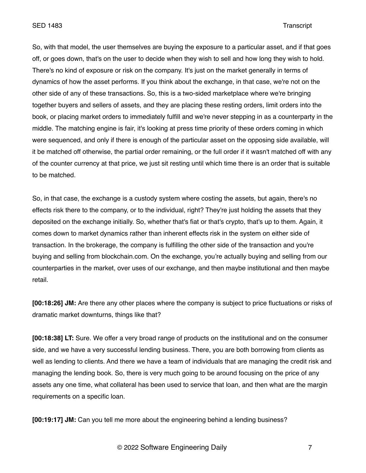SED 1483 Transcript

So, with that model, the user themselves are buying the exposure to a particular asset, and if that goes off, or goes down, that's on the user to decide when they wish to sell and how long they wish to hold. There's no kind of exposure or risk on the company. It's just on the market generally in terms of dynamics of how the asset performs. If you think about the exchange, in that case, we're not on the other side of any of these transactions. So, this is a two-sided marketplace where we're bringing together buyers and sellers of assets, and they are placing these resting orders, limit orders into the book, or placing market orders to immediately fulfill and we're never stepping in as a counterparty in the middle. The matching engine is fair, it's looking at press time priority of these orders coming in which were sequenced, and only if there is enough of the particular asset on the opposing side available, will it be matched off otherwise, the partial order remaining, or the full order if it wasn't matched off with any of the counter currency at that price, we just sit resting until which time there is an order that is suitable to be matched.

So, in that case, the exchange is a custody system where costing the assets, but again, there's no effects risk there to the company, or to the individual, right? They're just holding the assets that they deposited on the exchange initially. So, whether that's fiat or that's crypto, that's up to them. Again, it comes down to market dynamics rather than inherent effects risk in the system on either side of transaction. In the brokerage, the company is fulfilling the other side of the transaction and you're buying and selling from blockchain.com. On the exchange, you're actually buying and selling from our counterparties in the market, over uses of our exchange, and then maybe institutional and then maybe retail.

**[00:18:26] JM:** Are there any other places where the company is subject to price fluctuations or risks of dramatic market downturns, things like that?

**[00:18:38] LT:** Sure. We offer a very broad range of products on the institutional and on the consumer side, and we have a very successful lending business. There, you are both borrowing from clients as well as lending to clients. And there we have a team of individuals that are managing the credit risk and managing the lending book. So, there is very much going to be around focusing on the price of any assets any one time, what collateral has been used to service that loan, and then what are the margin requirements on a specific loan.

**[00:19:17] JM:** Can you tell me more about the engineering behind a lending business?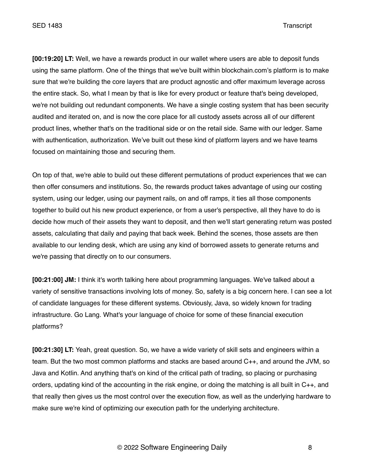**[00:19:20] LT:** Well, we have a rewards product in our wallet where users are able to deposit funds using the same platform. One of the things that we've built within blockchain.com's platform is to make sure that we're building the core layers that are product agnostic and offer maximum leverage across the entire stack. So, what I mean by that is like for every product or feature that's being developed, we're not building out redundant components. We have a single costing system that has been security audited and iterated on, and is now the core place for all custody assets across all of our different product lines, whether that's on the traditional side or on the retail side. Same with our ledger. Same with authentication, authorization. We've built out these kind of platform layers and we have teams focused on maintaining those and securing them.

On top of that, we're able to build out these different permutations of product experiences that we can then offer consumers and institutions. So, the rewards product takes advantage of using our costing system, using our ledger, using our payment rails, on and off ramps, it ties all those components together to build out his new product experience, or from a user's perspective, all they have to do is decide how much of their assets they want to deposit, and then we'll start generating return was posted assets, calculating that daily and paying that back week. Behind the scenes, those assets are then available to our lending desk, which are using any kind of borrowed assets to generate returns and we're passing that directly on to our consumers.

**[00:21:00] JM:** I think it's worth talking here about programming languages. We've talked about a variety of sensitive transactions involving lots of money. So, safety is a big concern here. I can see a lot of candidate languages for these different systems. Obviously, Java, so widely known for trading infrastructure. Go Lang. What's your language of choice for some of these financial execution platforms?

**[00:21:30] LT:** Yeah, great question. So, we have a wide variety of skill sets and engineers within a team. But the two most common platforms and stacks are based around C++, and around the JVM, so Java and Kotlin. And anything that's on kind of the critical path of trading, so placing or purchasing orders, updating kind of the accounting in the risk engine, or doing the matching is all built in C++, and that really then gives us the most control over the execution flow, as well as the underlying hardware to make sure we're kind of optimizing our execution path for the underlying architecture.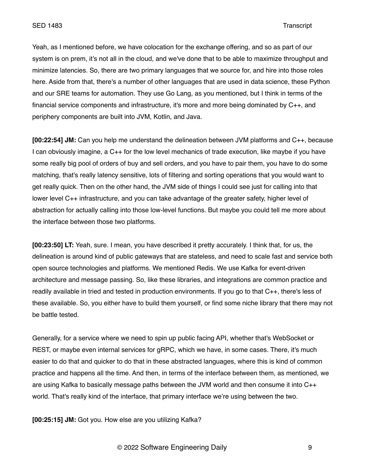Yeah, as I mentioned before, we have colocation for the exchange offering, and so as part of our system is on prem, it's not all in the cloud, and we've done that to be able to maximize throughput and minimize latencies. So, there are two primary languages that we source for, and hire into those roles here. Aside from that, there's a number of other languages that are used in data science, these Python and our SRE teams for automation. They use Go Lang, as you mentioned, but I think in terms of the financial service components and infrastructure, it's more and more being dominated by C++, and periphery components are built into JVM, Kotlin, and Java.

**[00:22:54] JM:** Can you help me understand the delineation between JVM platforms and C++, because I can obviously imagine, a C++ for the low level mechanics of trade execution, like maybe if you have some really big pool of orders of buy and sell orders, and you have to pair them, you have to do some matching, that's really latency sensitive, lots of filtering and sorting operations that you would want to get really quick. Then on the other hand, the JVM side of things I could see just for calling into that lower level C++ infrastructure, and you can take advantage of the greater safety, higher level of abstraction for actually calling into those low-level functions. But maybe you could tell me more about the interface between those two platforms.

**[00:23:50] LT:** Yeah, sure. I mean, you have described it pretty accurately. I think that, for us, the delineation is around kind of public gateways that are stateless, and need to scale fast and service both open source technologies and platforms. We mentioned Redis. We use Kafka for event-driven architecture and message passing. So, like these libraries, and integrations are common practice and readily available in tried and tested in production environments. If you go to that C++, there's less of these available. So, you either have to build them yourself, or find some niche library that there may not be battle tested.

Generally, for a service where we need to spin up public facing API, whether that's WebSocket or REST, or maybe even internal services for gRPC, which we have, in some cases. There, it's much easier to do that and quicker to do that in these abstracted languages, where this is kind of common practice and happens all the time. And then, in terms of the interface between them, as mentioned, we are using Kafka to basically message paths between the JVM world and then consume it into C++ world. That's really kind of the interface, that primary interface we're using between the two.

**[00:25:15] JM:** Got you. How else are you utilizing Kafka?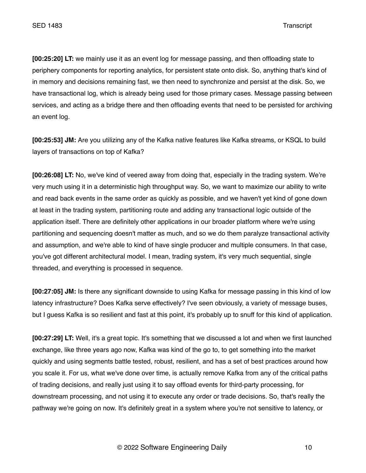**[00:25:20] LT:** we mainly use it as an event log for message passing, and then offloading state to periphery components for reporting analytics, for persistent state onto disk. So, anything that's kind of in memory and decisions remaining fast, we then need to synchronize and persist at the disk. So, we have transactional log, which is already being used for those primary cases. Message passing between services, and acting as a bridge there and then offloading events that need to be persisted for archiving an event log.

**[00:25:53] JM:** Are you utilizing any of the Kafka native features like Kafka streams, or KSQL to build layers of transactions on top of Kafka?

**[00:26:08] LT:** No, we've kind of veered away from doing that, especially in the trading system. We're very much using it in a deterministic high throughput way. So, we want to maximize our ability to write and read back events in the same order as quickly as possible, and we haven't yet kind of gone down at least in the trading system, partitioning route and adding any transactional logic outside of the application itself. There are definitely other applications in our broader platform where we're using partitioning and sequencing doesn't matter as much, and so we do them paralyze transactional activity and assumption, and we're able to kind of have single producer and multiple consumers. In that case, you've got different architectural model. I mean, trading system, it's very much sequential, single threaded, and everything is processed in sequence.

**[00:27:05] JM:** Is there any significant downside to using Kafka for message passing in this kind of low latency infrastructure? Does Kafka serve effectively? I've seen obviously, a variety of message buses, but I guess Kafka is so resilient and fast at this point, it's probably up to snuff for this kind of application.

**[00:27:29] LT:** Well, it's a great topic. It's something that we discussed a lot and when we first launched exchange, like three years ago now, Kafka was kind of the go to, to get something into the market quickly and using segments battle tested, robust, resilient, and has a set of best practices around how you scale it. For us, what we've done over time, is actually remove Kafka from any of the critical paths of trading decisions, and really just using it to say offload events for third-party processing, for downstream processing, and not using it to execute any order or trade decisions. So, that's really the pathway we're going on now. It's definitely great in a system where you're not sensitive to latency, or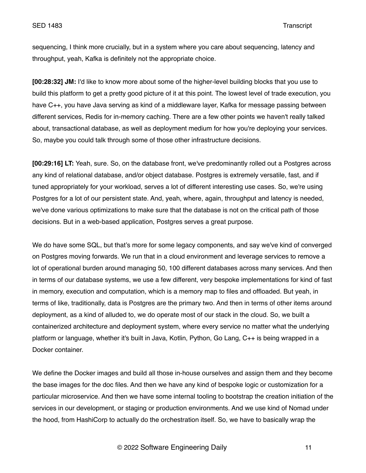sequencing, I think more crucially, but in a system where you care about sequencing, latency and throughput, yeah, Kafka is definitely not the appropriate choice.

**[00:28:32] JM:** I'd like to know more about some of the higher-level building blocks that you use to build this platform to get a pretty good picture of it at this point. The lowest level of trade execution, you have C++, you have Java serving as kind of a middleware layer, Kafka for message passing between different services, Redis for in-memory caching. There are a few other points we haven't really talked about, transactional database, as well as deployment medium for how you're deploying your services. So, maybe you could talk through some of those other infrastructure decisions.

**[00:29:16] LT:** Yeah, sure. So, on the database front, we've predominantly rolled out a Postgres across any kind of relational database, and/or object database. Postgres is extremely versatile, fast, and if tuned appropriately for your workload, serves a lot of different interesting use cases. So, we're using Postgres for a lot of our persistent state. And, yeah, where, again, throughput and latency is needed, we've done various optimizations to make sure that the database is not on the critical path of those decisions. But in a web-based application, Postgres serves a great purpose.

We do have some SQL, but that's more for some legacy components, and say we've kind of converged on Postgres moving forwards. We run that in a cloud environment and leverage services to remove a lot of operational burden around managing 50, 100 different databases across many services. And then in terms of our database systems, we use a few different, very bespoke implementations for kind of fast in memory, execution and computation, which is a memory map to files and offloaded. But yeah, in terms of like, traditionally, data is Postgres are the primary two. And then in terms of other items around deployment, as a kind of alluded to, we do operate most of our stack in the cloud. So, we built a containerized architecture and deployment system, where every service no matter what the underlying platform or language, whether it's built in Java, Kotlin, Python, Go Lang, C++ is being wrapped in a Docker container.

We define the Docker images and build all those in-house ourselves and assign them and they become the base images for the doc files. And then we have any kind of bespoke logic or customization for a particular microservice. And then we have some internal tooling to bootstrap the creation initiation of the services in our development, or staging or production environments. And we use kind of Nomad under the hood, from HashiCorp to actually do the orchestration itself. So, we have to basically wrap the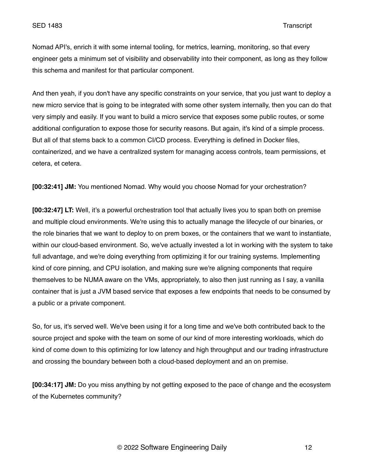Nomad API's, enrich it with some internal tooling, for metrics, learning, monitoring, so that every engineer gets a minimum set of visibility and observability into their component, as long as they follow this schema and manifest for that particular component.

And then yeah, if you don't have any specific constraints on your service, that you just want to deploy a new micro service that is going to be integrated with some other system internally, then you can do that very simply and easily. If you want to build a micro service that exposes some public routes, or some additional configuration to expose those for security reasons. But again, it's kind of a simple process. But all of that stems back to a common CI/CD process. Everything is defined in Docker files, containerized, and we have a centralized system for managing access controls, team permissions, et cetera, et cetera.

**[00:32:41] JM:** You mentioned Nomad. Why would you choose Nomad for your orchestration?

**[00:32:47] LT:** Well, it's a powerful orchestration tool that actually lives you to span both on premise and multiple cloud environments. We're using this to actually manage the lifecycle of our binaries, or the role binaries that we want to deploy to on prem boxes, or the containers that we want to instantiate, within our cloud-based environment. So, we've actually invested a lot in working with the system to take full advantage, and we're doing everything from optimizing it for our training systems. Implementing kind of core pinning, and CPU isolation, and making sure we're aligning components that require themselves to be NUMA aware on the VMs, appropriately, to also then just running as I say, a vanilla container that is just a JVM based service that exposes a few endpoints that needs to be consumed by a public or a private component.

So, for us, it's served well. We've been using it for a long time and we've both contributed back to the source project and spoke with the team on some of our kind of more interesting workloads, which do kind of come down to this optimizing for low latency and high throughput and our trading infrastructure and crossing the boundary between both a cloud-based deployment and an on premise.

**[00:34:17] JM:** Do you miss anything by not getting exposed to the pace of change and the ecosystem of the Kubernetes community?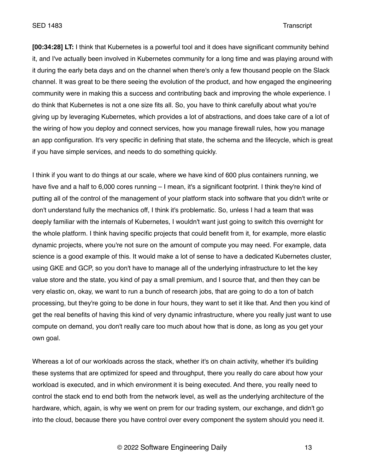SED 1483 Transcript

**[00:34:28] LT:** I think that Kubernetes is a powerful tool and it does have significant community behind it, and I've actually been involved in Kubernetes community for a long time and was playing around with it during the early beta days and on the channel when there's only a few thousand people on the Slack channel. It was great to be there seeing the evolution of the product, and how engaged the engineering community were in making this a success and contributing back and improving the whole experience. I do think that Kubernetes is not a one size fits all. So, you have to think carefully about what you're giving up by leveraging Kubernetes, which provides a lot of abstractions, and does take care of a lot of the wiring of how you deploy and connect services, how you manage firewall rules, how you manage an app configuration. It's very specific in defining that state, the schema and the lifecycle, which is great if you have simple services, and needs to do something quickly.

I think if you want to do things at our scale, where we have kind of 600 plus containers running, we have five and a half to 6,000 cores running – I mean, it's a significant footprint. I think they're kind of putting all of the control of the management of your platform stack into software that you didn't write or don't understand fully the mechanics off, I think it's problematic. So, unless I had a team that was deeply familiar with the internals of Kubernetes, I wouldn't want just going to switch this overnight for the whole platform. I think having specific projects that could benefit from it, for example, more elastic dynamic projects, where you're not sure on the amount of compute you may need. For example, data science is a good example of this. It would make a lot of sense to have a dedicated Kubernetes cluster, using GKE and GCP, so you don't have to manage all of the underlying infrastructure to let the key value store and the state, you kind of pay a small premium, and I source that, and then they can be very elastic on, okay, we want to run a bunch of research jobs, that are going to do a ton of batch processing, but they're going to be done in four hours, they want to set it like that. And then you kind of get the real benefits of having this kind of very dynamic infrastructure, where you really just want to use compute on demand, you don't really care too much about how that is done, as long as you get your own goal.

Whereas a lot of our workloads across the stack, whether it's on chain activity, whether it's building these systems that are optimized for speed and throughput, there you really do care about how your workload is executed, and in which environment it is being executed. And there, you really need to control the stack end to end both from the network level, as well as the underlying architecture of the hardware, which, again, is why we went on prem for our trading system, our exchange, and didn't go into the cloud, because there you have control over every component the system should you need it.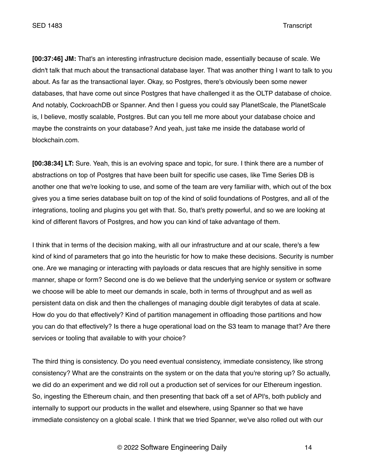**[00:37:46] JM:** That's an interesting infrastructure decision made, essentially because of scale. We didn't talk that much about the transactional database layer. That was another thing I want to talk to you about. As far as the transactional layer. Okay, so Postgres, there's obviously been some newer databases, that have come out since Postgres that have challenged it as the OLTP database of choice. And notably, CockroachDB or Spanner. And then I guess you could say PlanetScale, the PlanetScale is, I believe, mostly scalable, Postgres. But can you tell me more about your database choice and maybe the constraints on your database? And yeah, just take me inside the database world of blockchain.com.

**[00:38:34] LT:** Sure. Yeah, this is an evolving space and topic, for sure. I think there are a number of abstractions on top of Postgres that have been built for specific use cases, like Time Series DB is another one that we're looking to use, and some of the team are very familiar with, which out of the box gives you a time series database built on top of the kind of solid foundations of Postgres, and all of the integrations, tooling and plugins you get with that. So, that's pretty powerful, and so we are looking at kind of different flavors of Postgres, and how you can kind of take advantage of them.

I think that in terms of the decision making, with all our infrastructure and at our scale, there's a few kind of kind of parameters that go into the heuristic for how to make these decisions. Security is number one. Are we managing or interacting with payloads or data rescues that are highly sensitive in some manner, shape or form? Second one is do we believe that the underlying service or system or software we choose will be able to meet our demands in scale, both in terms of throughput and as well as persistent data on disk and then the challenges of managing double digit terabytes of data at scale. How do you do that effectively? Kind of partition management in offloading those partitions and how you can do that effectively? Is there a huge operational load on the S3 team to manage that? Are there services or tooling that available to with your choice?

The third thing is consistency. Do you need eventual consistency, immediate consistency, like strong consistency? What are the constraints on the system or on the data that you're storing up? So actually, we did do an experiment and we did roll out a production set of services for our Ethereum ingestion. So, ingesting the Ethereum chain, and then presenting that back off a set of API's, both publicly and internally to support our products in the wallet and elsewhere, using Spanner so that we have immediate consistency on a global scale. I think that we tried Spanner, we've also rolled out with our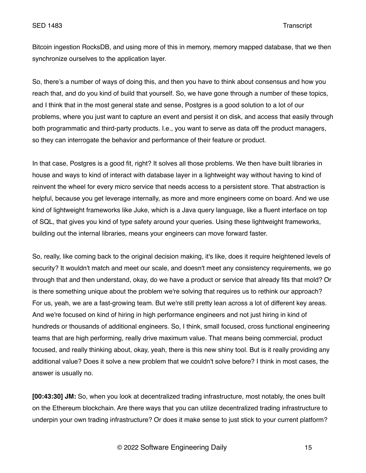Bitcoin ingestion RocksDB, and using more of this in memory, memory mapped database, that we then synchronize ourselves to the application layer.

So, there's a number of ways of doing this, and then you have to think about consensus and how you reach that, and do you kind of build that yourself. So, we have gone through a number of these topics, and I think that in the most general state and sense, Postgres is a good solution to a lot of our problems, where you just want to capture an event and persist it on disk, and access that easily through both programmatic and third-party products. I.e., you want to serve as data off the product managers, so they can interrogate the behavior and performance of their feature or product.

In that case, Postgres is a good fit, right? It solves all those problems. We then have built libraries in house and ways to kind of interact with database layer in a lightweight way without having to kind of reinvent the wheel for every micro service that needs access to a persistent store. That abstraction is helpful, because you get leverage internally, as more and more engineers come on board. And we use kind of lightweight frameworks like Juke, which is a Java query language, like a fluent interface on top of SQL, that gives you kind of type safety around your queries. Using these lightweight frameworks, building out the internal libraries, means your engineers can move forward faster.

So, really, like coming back to the original decision making, it's like, does it require heightened levels of security? It wouldn't match and meet our scale, and doesn't meet any consistency requirements, we go through that and then understand, okay, do we have a product or service that already fits that mold? Or is there something unique about the problem we're solving that requires us to rethink our approach? For us, yeah, we are a fast-growing team. But we're still pretty lean across a lot of different key areas. And we're focused on kind of hiring in high performance engineers and not just hiring in kind of hundreds or thousands of additional engineers. So, I think, small focused, cross functional engineering teams that are high performing, really drive maximum value. That means being commercial, product focused, and really thinking about, okay, yeah, there is this new shiny tool. But is it really providing any additional value? Does it solve a new problem that we couldn't solve before? I think in most cases, the answer is usually no.

**[00:43:30] JM:** So, when you look at decentralized trading infrastructure, most notably, the ones built on the Ethereum blockchain. Are there ways that you can utilize decentralized trading infrastructure to underpin your own trading infrastructure? Or does it make sense to just stick to your current platform?